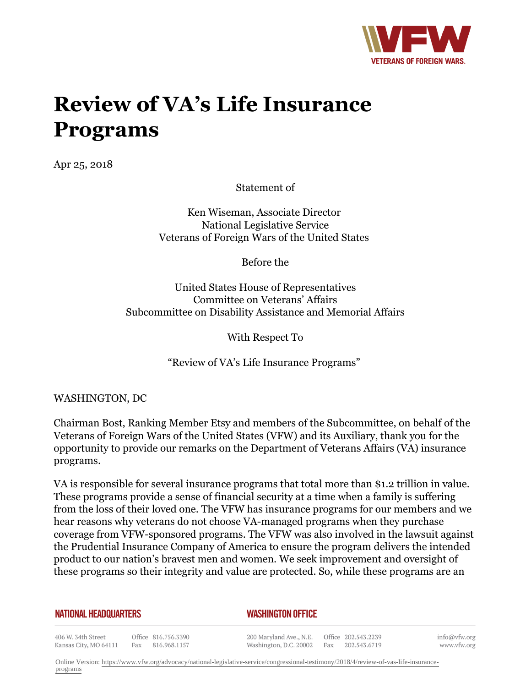

# **Review of VA's Life Insurance Programs**

Apr 25, 2018

Statement of

Ken Wiseman, Associate Director National Legislative Service Veterans of Foreign Wars of the United States

Before the

United States House of Representatives Committee on Veterans' Affairs Subcommittee on Disability Assistance and Memorial Affairs

With Respect To

"Review of VA's Life Insurance Programs"

WASHINGTON, DC

Chairman Bost, Ranking Member Etsy and members of the Subcommittee, on behalf of the Veterans of Foreign Wars of the United States (VFW) and its Auxiliary, thank you for the opportunity to provide our remarks on the Department of Veterans Affairs (VA) insurance programs.

VA is responsible for several insurance programs that total more than \$1.2 trillion in value. These programs provide a sense of financial security at a time when a family is suffering from the loss of their loved one. The VFW has insurance programs for our members and we hear reasons why veterans do not choose VA-managed programs when they purchase coverage from VFW-sponsored programs. The VFW was also involved in the lawsuit against the Prudential Insurance Company of America to ensure the program delivers the intended product to our nation's bravest men and women. We seek improvement and oversight of these programs so their integrity and value are protected. So, while these programs are an

**NATIONAL HEADQUARTERS** 

#### *WASHINGTON OFFICE*

406 W. 34th Street Office 816.756.3390 Fax 816.968.1157 Kansas City, MO 64111

200 Maryland Ave., N.E. Washington, D.C. 20002 Fax 202.543.6719

Office 202.543.2239

info@vfw.org www.vfw.org

Online Version: [https://www.vfw.org/advocacy/national-legislative-service/congressional-testimony/2018/4/review-of-vas-life-insurance](https://www.vfw.org/advocacy/national-legislative-service/congressional-testimony/2018/4/review-of-vas-life-insurance-programs)[programs](https://www.vfw.org/advocacy/national-legislative-service/congressional-testimony/2018/4/review-of-vas-life-insurance-programs)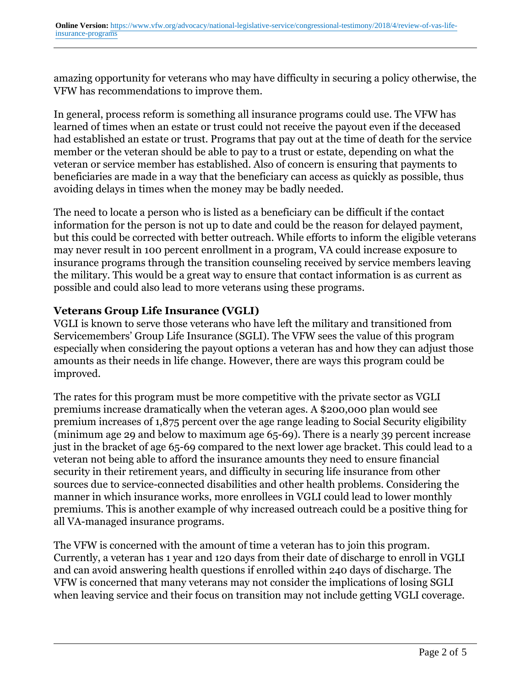amazing opportunity for veterans who may have difficulty in securing a policy otherwise, the VFW has recommendations to improve them.

In general, process reform is something all insurance programs could use. The VFW has learned of times when an estate or trust could not receive the payout even if the deceased had established an estate or trust. Programs that pay out at the time of death for the service member or the veteran should be able to pay to a trust or estate, depending on what the veteran or service member has established. Also of concern is ensuring that payments to beneficiaries are made in a way that the beneficiary can access as quickly as possible, thus avoiding delays in times when the money may be badly needed.

The need to locate a person who is listed as a beneficiary can be difficult if the contact information for the person is not up to date and could be the reason for delayed payment, but this could be corrected with better outreach. While efforts to inform the eligible veterans may never result in 100 percent enrollment in a program, VA could increase exposure to insurance programs through the transition counseling received by service members leaving the military. This would be a great way to ensure that contact information is as current as possible and could also lead to more veterans using these programs.

## **Veterans Group Life Insurance (VGLI)**

VGLI is known to serve those veterans who have left the military and transitioned from Servicemembers' Group Life Insurance (SGLI). The VFW sees the value of this program especially when considering the payout options a veteran has and how they can adjust those amounts as their needs in life change. However, there are ways this program could be improved.

The rates for this program must be more competitive with the private sector as VGLI premiums increase dramatically when the veteran ages. A \$200,000 plan would see premium increases of 1,875 percent over the age range leading to Social Security eligibility (minimum age 29 and below to maximum age 65-69). There is a nearly 39 percent increase just in the bracket of age 65-69 compared to the next lower age bracket. This could lead to a veteran not being able to afford the insurance amounts they need to ensure financial security in their retirement years, and difficulty in securing life insurance from other sources due to service-connected disabilities and other health problems. Considering the manner in which insurance works, more enrollees in VGLI could lead to lower monthly premiums. This is another example of why increased outreach could be a positive thing for all VA-managed insurance programs.

The VFW is concerned with the amount of time a veteran has to join this program. Currently, a veteran has 1 year and 120 days from their date of discharge to enroll in VGLI and can avoid answering health questions if enrolled within 240 days of discharge. The VFW is concerned that many veterans may not consider the implications of losing SGLI when leaving service and their focus on transition may not include getting VGLI coverage.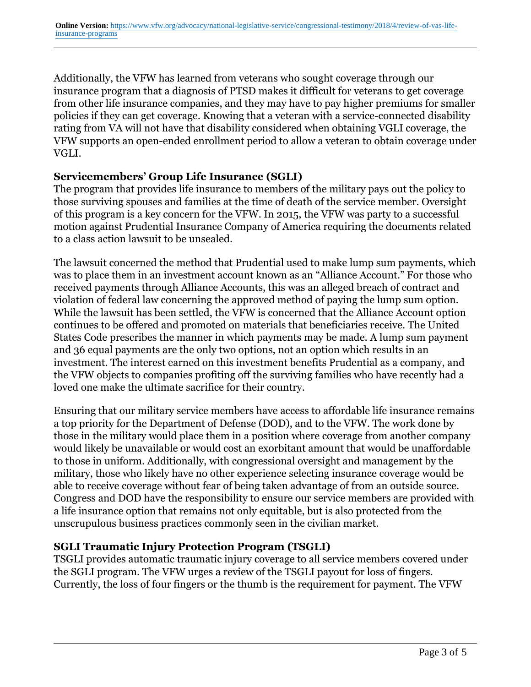Additionally, the VFW has learned from veterans who sought coverage through our insurance program that a diagnosis of PTSD makes it difficult for veterans to get coverage from other life insurance companies, and they may have to pay higher premiums for smaller policies if they can get coverage. Knowing that a veteran with a service-connected disability rating from VA will not have that disability considered when obtaining VGLI coverage, the VFW supports an open-ended enrollment period to allow a veteran to obtain coverage under VGLI.

#### **Servicemembers' Group Life Insurance (SGLI)**

The program that provides life insurance to members of the military pays out the policy to those surviving spouses and families at the time of death of the service member. Oversight of this program is a key concern for the VFW. In 2015, the VFW was party to a successful motion against Prudential Insurance Company of America requiring the documents related to a class action lawsuit to be unsealed.

The lawsuit concerned the method that Prudential used to make lump sum payments, which was to place them in an investment account known as an "Alliance Account." For those who received payments through Alliance Accounts, this was an alleged breach of contract and violation of federal law concerning the approved method of paying the lump sum option. While the lawsuit has been settled, the VFW is concerned that the Alliance Account option continues to be offered and promoted on materials that beneficiaries receive. The United States Code prescribes the manner in which payments may be made. A lump sum payment and 36 equal payments are the only two options, not an option which results in an investment. The interest earned on this investment benefits Prudential as a company, and the VFW objects to companies profiting off the surviving families who have recently had a loved one make the ultimate sacrifice for their country.

Ensuring that our military service members have access to affordable life insurance remains a top priority for the Department of Defense (DOD), and to the VFW. The work done by those in the military would place them in a position where coverage from another company would likely be unavailable or would cost an exorbitant amount that would be unaffordable to those in uniform. Additionally, with congressional oversight and management by the military, those who likely have no other experience selecting insurance coverage would be able to receive coverage without fear of being taken advantage of from an outside source. Congress and DOD have the responsibility to ensure our service members are provided with a life insurance option that remains not only equitable, but is also protected from the unscrupulous business practices commonly seen in the civilian market.

#### **SGLI Traumatic Injury Protection Program (TSGLI)**

TSGLI provides automatic traumatic injury coverage to all service members covered under the SGLI program. The VFW urges a review of the TSGLI payout for loss of fingers. Currently, the loss of four fingers or the thumb is the requirement for payment. The VFW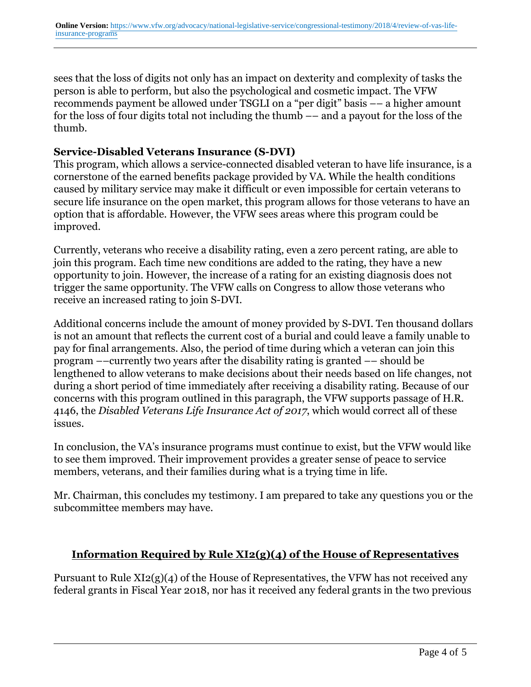sees that the loss of digits not only has an impact on dexterity and complexity of tasks the person is able to perform, but also the psychological and cosmetic impact. The VFW recommends payment be allowed under TSGLI on a "per digit" basis –– a higher amount for the loss of four digits total not including the thumb –– and a payout for the loss of the thumb.

### **Service-Disabled Veterans Insurance (S-DVI)**

This program, which allows a service-connected disabled veteran to have life insurance, is a cornerstone of the earned benefits package provided by VA. While the health conditions caused by military service may make it difficult or even impossible for certain veterans to secure life insurance on the open market, this program allows for those veterans to have an option that is affordable. However, the VFW sees areas where this program could be improved.

Currently, veterans who receive a disability rating, even a zero percent rating, are able to join this program. Each time new conditions are added to the rating, they have a new opportunity to join. However, the increase of a rating for an existing diagnosis does not trigger the same opportunity. The VFW calls on Congress to allow those veterans who receive an increased rating to join S-DVI.

Additional concerns include the amount of money provided by S-DVI. Ten thousand dollars is not an amount that reflects the current cost of a burial and could leave a family unable to pay for final arrangements. Also, the period of time during which a veteran can join this program ––currently two years after the disability rating is granted –– should be lengthened to allow veterans to make decisions about their needs based on life changes, not during a short period of time immediately after receiving a disability rating. Because of our concerns with this program outlined in this paragraph, the VFW supports passage of H.R. 4146, the *Disabled Veterans Life Insurance Act of 2017*, which would correct all of these issues.

In conclusion, the VA's insurance programs must continue to exist, but the VFW would like to see them improved. Their improvement provides a greater sense of peace to service members, veterans, and their families during what is a trying time in life.

Mr. Chairman, this concludes my testimony. I am prepared to take any questions you or the subcommittee members may have.

## **Information Required by Rule XI2(g)(4) of the House of Representatives**

Pursuant to Rule XI2(g)(4) of the House of Representatives, the VFW has not received any federal grants in Fiscal Year 2018, nor has it received any federal grants in the two previous